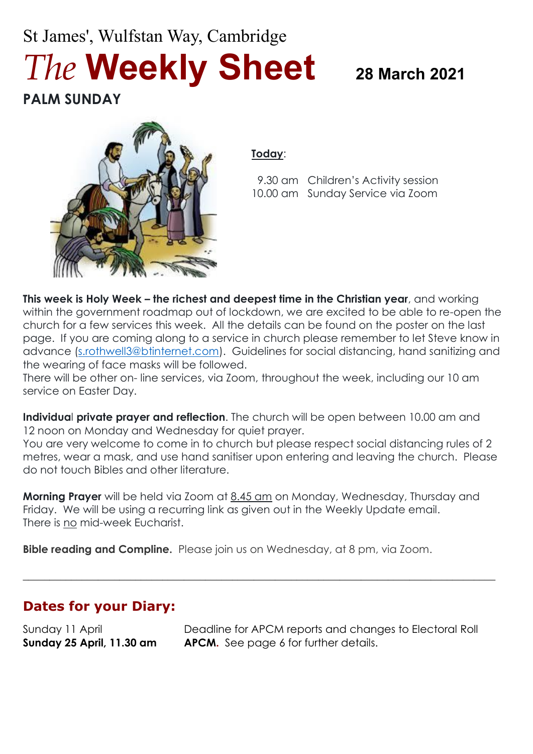# St James', Wulfstan Way, Cambridge *The* **Weekly Sheet <sup>28</sup> March <sup>2021</sup> PALM SUNDAY**



#### **Today**:

 9.30 am Children's Activity session 10.00 am Sunday Service via Zoom

**This week is Holy Week – the richest and deepest time in the Christian year**, and working within the government roadmap out of lockdown, we are excited to be able to re-open the church for a few services this week. All the details can be found on the poster on the last page. If you are coming along to a service in church please remember to let Steve know in advance [\(s.rothwell3@btinternet.com\)](mailto:s.rothwell3@btinternet.com). Guidelines for social distancing, hand sanitizing and the wearing of face masks will be followed.

There will be other on- line services, via Zoom, throughout the week, including our 10 am service on Easter Day.

**Individua**l **private prayer and reflection**. The church will be open between 10.00 am and 12 noon on Monday and Wednesday for quiet prayer.

You are very welcome to come in to church but please respect social distancing rules of 2 metres, wear a mask, and use hand sanitiser upon entering and leaving the church. Please do not touch Bibles and other literature.

**Morning Prayer** will be held via Zoom at 8.45 am on Monday, Wednesday, Thursday and Friday. We will be using a recurring link as given out in the Weekly Update email. There is no mid-week Eucharist.

 $\_$  , and the set of the set of the set of the set of the set of the set of the set of the set of the set of the set of the set of the set of the set of the set of the set of the set of the set of the set of the set of th

**Bible reading and Compline.** Please join us on Wednesday, at 8 pm, via Zoom.

## **Dates for your Diary:**

Sunday 11 April **Example 20 April 12 Deadline for APCM reports and changes to Electoral Roll Sunday 25 April, 11.30 am APCM.** See page 6 for further details.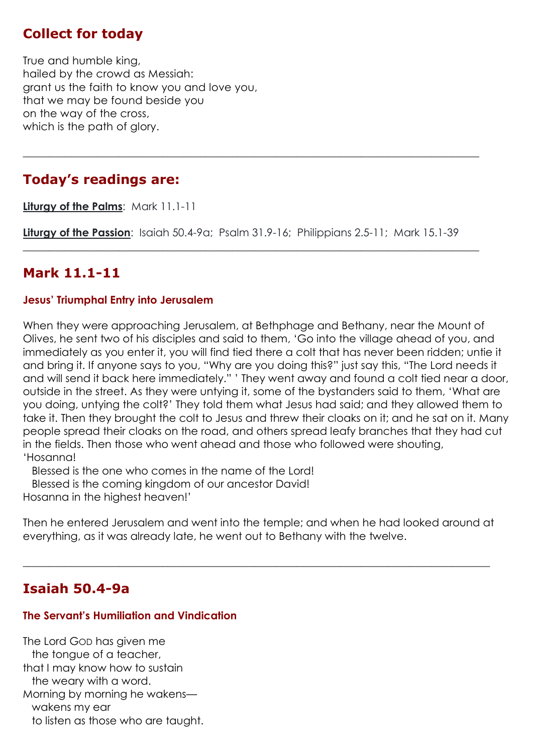## **Collect for today**

True and humble king, hailed by the crowd as Messiah: grant us the faith to know you and love you, that we may be found beside you on the way of the cross, which is the path of glory.

### **Today's readings are:**

**Liturgy of the Palms**: Mark 11.1-11

**Liturgy of the Passion**: Isaiah 50.4-9a; Psalm 31.9-16; Philippians 2.5-11; Mark 15.1-39

 $\_$  , and the set of the set of the set of the set of the set of the set of the set of the set of the set of the set of the set of the set of the set of the set of the set of the set of the set of the set of the set of th

**\_\_\_\_\_\_\_\_\_\_\_\_\_\_\_\_\_\_\_\_\_\_\_\_\_\_\_\_\_\_\_\_\_\_\_\_\_\_\_\_\_\_\_\_\_\_\_\_\_\_\_\_\_\_\_\_\_\_\_\_\_\_\_\_\_\_\_\_\_\_\_\_\_\_\_\_\_\_\_\_\_\_\_\_\_**

### **Mark 11.1-11**

#### **Jesus' Triumphal Entry into Jerusalem**

When they were approaching Jerusalem, at Bethphage and Bethany, near the Mount of Olives, he sent two of his disciples and said to them, 'Go into the village ahead of you, and immediately as you enter it, you will find tied there a colt that has never been ridden; untie it and bring it. If anyone says to you, "Why are you doing this?" just say this, "The Lord needs it and will send it back here immediately." ' They went away and found a colt tied near a door, outside in the street. As they were untying it, some of the bystanders said to them, 'What are you doing, untying the colt?' They told them what Jesus had said; and they allowed them to take it. Then they brought the colt to Jesus and threw their cloaks on it; and he sat on it. Many people spread their cloaks on the road, and others spread leafy branches that they had cut in the fields. Then those who went ahead and those who followed were shouting, 'Hosanna!

Blessed is the one who comes in the name of the Lord!

Blessed is the coming kingdom of our ancestor David!

Hosanna in the highest heaven!'

Then he entered Jerusalem and went into the temple; and when he had looked around at everything, as it was already late, he went out to Bethany with the twelve.

 $\_$  , and the set of the set of the set of the set of the set of the set of the set of the set of the set of the set of the set of the set of the set of the set of the set of the set of the set of the set of the set of th

### **Isaiah 50.4-9a**

#### **The Servant's Humiliation and Vindication**

The Lord GOD has given me the tongue of a teacher, that I may know how to sustain the weary with a word. Morning by morning he wakens wakens my ear to listen as those who are taught.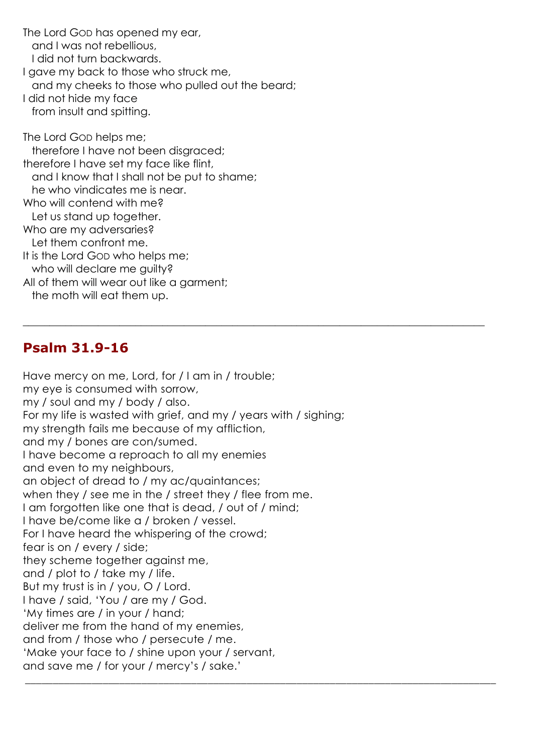The Lord GOD has opened my ear, and I was not rebellious, I did not turn backwards. I gave my back to those who struck me, and my cheeks to those who pulled out the beard; I did not hide my face from insult and spitting. The Lord GOD helps me; therefore I have not been disgraced; therefore I have set my face like flint, and I know that I shall not be put to shame; he who vindicates me is near. Who will contend with me? Let us stand up together. Who are my adversaries? Let them confront me.

- It is the Lord GOD who helps me; who will declare me guilty?
- All of them will wear out like a garment; the moth will eat them up.

## **Psalm 31.9-16**

Have mercy on me, Lord, for / I am in / trouble; my eye is consumed with sorrow, my / soul and my / body / also. For my life is wasted with grief, and my / years with / sighing; my strength fails me because of my affliction, and my / bones are con/sumed. I have become a reproach to all my enemies and even to my neighbours, an object of dread to / my ac/quaintances; when they / see me in the / street they / flee from me. I am forgotten like one that is dead, / out of / mind; I have be/come like a / broken / vessel. For I have heard the whispering of the crowd; fear is on / every / side; they scheme together against me, and / plot to / take my / life. But my trust is in / you, O / Lord. I have / said, 'You / are my / God. 'My times are / in your / hand; deliver me from the hand of my enemies, and from / those who / persecute / me. 'Make your face to / shine upon your / servant, and save me / for your / mercy's / sake.'

 $\_$  , and the set of the set of the set of the set of the set of the set of the set of the set of the set of the set of the set of the set of the set of the set of the set of the set of the set of the set of the set of th

\_\_\_\_\_\_\_\_\_\_\_\_\_\_\_\_\_\_\_\_\_\_\_\_\_\_\_\_\_\_\_\_\_\_\_\_\_\_\_\_\_\_\_\_\_\_\_\_\_\_\_\_\_\_\_\_\_\_\_\_\_\_\_\_\_\_\_\_\_\_\_\_\_\_\_\_\_\_\_\_\_\_\_\_\_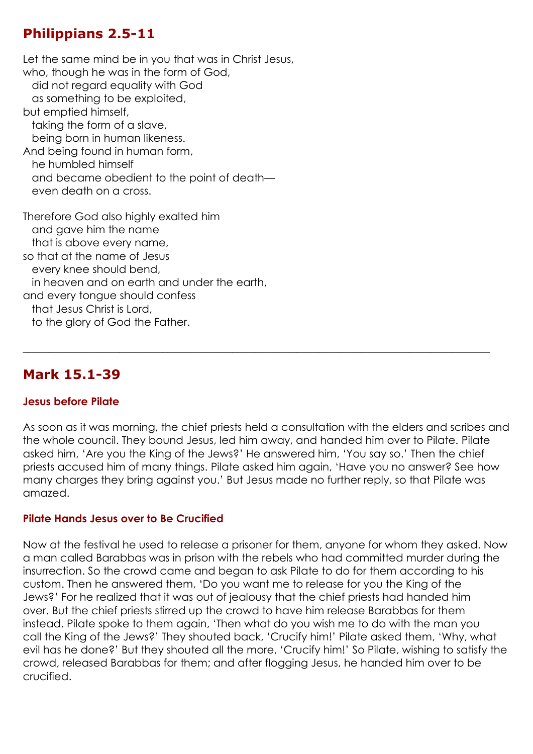# **Philippians 2.5-11**

Let the same mind be in you that was in Christ Jesus, who, though he was in the form of God, did not regard equality with God as something to be exploited, but emptied himself, taking the form of a slave, being born in human likeness. And being found in human form, he humbled himself and became obedient to the point of death even death on a cross. Therefore God also highly exalted him and gave him the name that is above every name, so that at the name of Jesus every knee should bend, in heaven and on earth and under the earth, and every tongue should confess

 that Jesus Christ is Lord, to the glory of God the Father.

### **Mark 15.1-39**

#### **Jesus before Pilate**

As soon as it was morning, the chief priests held a consultation with the elders and scribes and the whole council. They bound Jesus, led him away, and handed him over to Pilate. Pilate asked him, 'Are you the King of the Jews?' He answered him, 'You say so.' Then the chief priests accused him of many things. Pilate asked him again, 'Have you no answer? See how many charges they bring against you.' But Jesus made no further reply, so that Pilate was amazed.

 $\_$  , and the set of the set of the set of the set of the set of the set of the set of the set of the set of the set of the set of the set of the set of the set of the set of the set of the set of the set of the set of th

#### **Pilate Hands Jesus over to Be Crucified**

Now at the festival he used to release a prisoner for them, anyone for whom they asked. Now a man called Barabbas was in prison with the rebels who had committed murder during the insurrection. So the crowd came and began to ask Pilate to do for them according to his custom. Then he answered them, 'Do you want me to release for you the King of the Jews?' For he realized that it was out of jealousy that the chief priests had handed him over. But the chief priests stirred up the crowd to have him release Barabbas for them instead. Pilate spoke to them again, 'Then what do you wish me to do with the man you call the King of the Jews?' They shouted back, 'Crucify him!' Pilate asked them, 'Why, what evil has he done?' But they shouted all the more, 'Crucify him!' So Pilate, wishing to satisfy the crowd, released Barabbas for them; and after flogging Jesus, he handed him over to be crucified.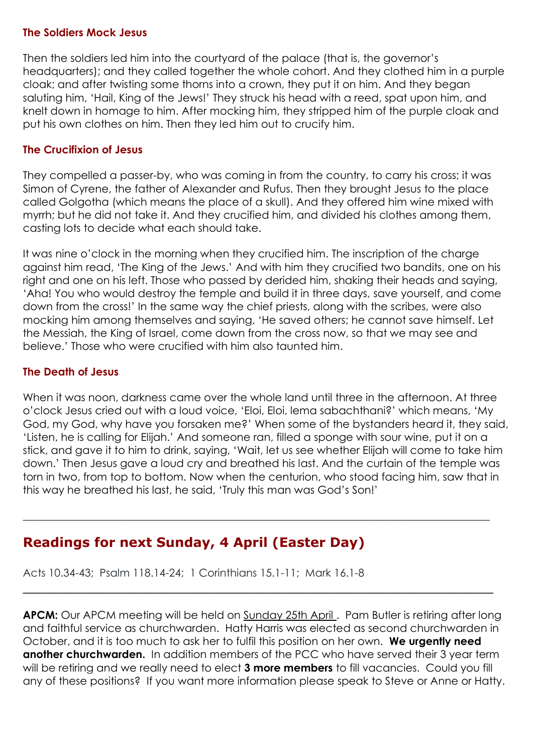#### **The Soldiers Mock Jesus**

Then the soldiers led him into the courtyard of the palace (that is, the governor's headquarters); and they called together the whole cohort. And they clothed him in a purple cloak; and after twisting some thorns into a crown, they put it on him. And they began saluting him, 'Hail, King of the Jews!' They struck his head with a reed, spat upon him, and knelt down in homage to him. After mocking him, they stripped him of the purple cloak and put his own clothes on him. Then they led him out to crucify him.

#### **The Crucifixion of Jesus**

They compelled a passer-by, who was coming in from the country, to carry his cross; it was Simon of Cyrene, the father of Alexander and Rufus. Then they brought Jesus to the place called Golgotha (which means the place of a skull). And they offered him wine mixed with myrrh; but he did not take it. And they crucified him, and divided his clothes among them, casting lots to decide what each should take.

It was nine o'clock in the morning when they crucified him. The inscription of the charge against him read, 'The King of the Jews.' And with him they crucified two bandits, one on his right and one on his left. Those who passed by derided him, shaking their heads and saying, 'Aha! You who would destroy the temple and build it in three days, save yourself, and come down from the cross!' In the same way the chief priests, along with the scribes, were also mocking him among themselves and saying, 'He saved others; he cannot save himself. Let the Messiah, the King of Israel, come down from the cross now, so that we may see and believe.' Those who were crucified with him also taunted him.

#### **The Death of Jesus**

When it was noon, darkness came over the whole land until three in the afternoon. At three o'clock Jesus cried out with a loud voice, 'Eloi, Eloi, lema sabachthani?' which means, 'My God, my God, why have you forsaken me?' When some of the bystanders heard it, they said, 'Listen, he is calling for Elijah.' And someone ran, filled a sponge with sour wine, put it on a stick, and gave it to him to drink, saying, 'Wait, let us see whether Elijah will come to take him down.' Then Jesus gave a loud cry and breathed his last. And the curtain of the temple was torn in two, from top to bottom. Now when the centurion, who stood facing him, saw that in this way he breathed his last, he said, 'Truly this man was God's Son!'

 $\_$  , and the set of the set of the set of the set of the set of the set of the set of the set of the set of the set of the set of the set of the set of the set of the set of the set of the set of the set of the set of th

\_\_\_\_\_\_\_\_\_\_\_\_\_\_\_\_\_\_\_\_\_\_\_\_\_\_\_\_\_\_\_\_\_\_\_\_\_\_\_\_\_\_\_\_\_\_\_\_\_\_\_\_\_\_\_\_\_

### **Readings for next Sunday, 4 April (Easter Day)**

Acts 10.34-43; Psalm 118.14-24; 1 Corinthians 15.1-11; Mark 16.1-8

**APCM:** Our APCM meeting will be held on Sunday 25th April . Pam Butler is retiring after long and faithful service as churchwarden. Hatty Harris was elected as second churchwarden in October, and it is too much to ask her to fulfil this position on her own. **We urgently need another churchwarden.** In addition members of the PCC who have served their 3 year term will be retiring and we really need to elect **3 more members** to fill vacancies. Could you fill any of these positions? If you want more information please speak to Steve or Anne or Hatty.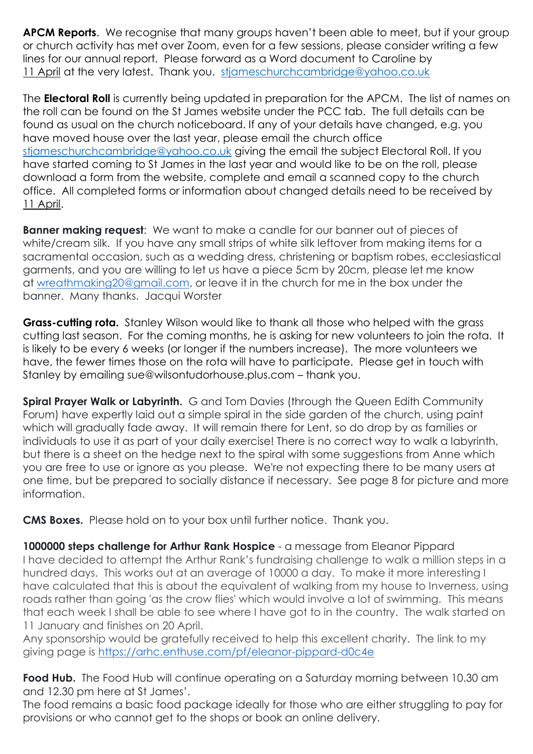**APCM Reports**. We recognise that many groups haven't been able to meet, but if your group or church activity has met over Zoom, even for a few sessions, please consider writing a few lines for our annual report. Please forward as a Word document to Caroline by 11 April at the very latest. Thank you. [stjameschurchcambridge@yahoo.co.uk](mailto:stjameschurchcambridge@yahoo.co.uk)

The **Electoral Roll** is currently being updated in preparation for the APCM. The list of names on the roll can be found on the St James website under the PCC tab. The full details can be found as usual on the church noticeboard. If any of your details have changed, e.g. you have moved house over the last year, please email the church office [stjameschurchcambridge@yahoo.co.uk](mailto:stjameschurchcambridge@yahoo.co.uk) giving the email the subject Electoral Roll. If you have started coming to St James in the last year and would like to be on the roll, please download a form from the website, complete and email a scanned copy to the church office. All completed forms or information about changed details need to be received by 11 April.

**Banner making request**: We want to make a candle for our banner out of pieces of white/cream silk. If you have any small strips of white silk leftover from making items for a sacramental occasion, such as a wedding dress, christening or baptism robes, ecclesiastical garments, and you are willing to let us have a piece 5cm by 20cm, please let me know at [wreathmaking20@gmail.com,](mailto:wreathmaking20@gmail.com) or leave it in the church for me in the box under the banner. Many thanks. Jacqui Worster

**Grass-cutting rota.** Stanley Wilson would like to thank all those who helped with the grass cutting last season. For the coming months, he is asking for new volunteers to join the rota. It is likely to be every 6 weeks (or longer if the numbers increase). The more volunteers we have, the fewer times those on the rota will have to participate. Please get in touch with Stanley by emailing sue@wilsontudorhouse.plus.com – thank you.

**Spiral Prayer Walk or Labyrinth.** G and Tom Davies (through the Queen Edith Community Forum) have expertly laid out a simple spiral in the side garden of the church, using paint which will gradually fade away. It will remain there for Lent, so do drop by as families or individuals to use it as part of your daily exercise! There is no correct way to walk a labyrinth, but there is a sheet on the hedge next to the spiral with some suggestions from Anne which you are free to use or ignore as you please. We're not expecting there to be many users at one time, but be prepared to socially distance if necessary. See page 8 for picture and more information.

**CMS Boxes.** Please hold on to your box until further notice. Thank you.

**1000000 steps challenge for Arthur Rank Hospice** - a message from Eleanor Pippard I have decided to attempt the Arthur Rank's fundraising challenge to walk a million steps in a hundred days. This works out at an average of 10000 a day. To make it more interesting I have calculated that this is about the equivalent of walking from my house to Inverness, using roads rather than going 'as the crow flies' which would involve a lot of swimming. This means that each week I shall be able to see where I have got to in the country. The walk started on 11 January and finishes on 20 April.

Any sponsorship would be gratefully received to help this excellent charity. The link to my giving page is <https://arhc.enthuse.com/pf/eleanor-pippard-d0c4e>

**Food Hub.** The Food Hub will continue operating on a Saturday morning between 10.30 am and 12.30 pm here at St James'.

The food remains a basic food package ideally for those who are either struggling to pay for provisions or who cannot get to the shops or book an online delivery.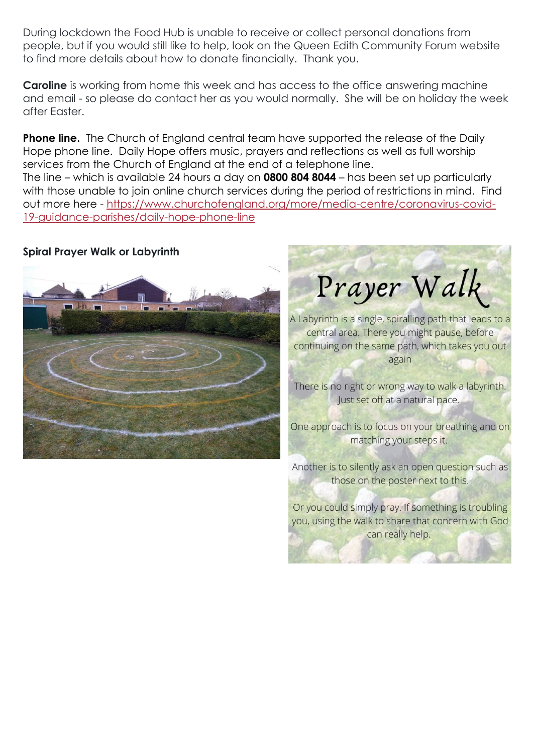During lockdown the Food Hub is unable to receive or collect personal donations from people, but if you would still like to help, look on the Queen Edith Community Forum website to find more details about how to donate financially. Thank you.

**Caroline** is working from home this week and has access to the office answering machine and email - so please do contact her as you would normally. She will be on holiday the week after Easter.

**Phone line.** The Church of England central team have supported the release of the Daily Hope phone line. Daily Hope offers music, prayers and reflections as well as full worship services from the Church of England at the end of a telephone line.

The line – which is available 24 hours a day on **0800 804 8044** – has been set up particularly with those unable to join online church services during the period of restrictions in mind. Find out more here - [https://www.churchofengland.org/more/media-centre/coronavirus-covid-](https://www.churchofengland.org/more/media-centre/coronavirus-covid-19-guidance-parishes/daily-hope-phone-line)[19-guidance-parishes/daily-hope-phone-line](https://www.churchofengland.org/more/media-centre/coronavirus-covid-19-guidance-parishes/daily-hope-phone-line)

#### **Spiral Prayer Walk or Labyrinth**





A Labyrinth is a single, spiralling path that leads to a central area. There you might pause, before continuing on the same path, which takes you out again

There is no right or wrong way to walk a labyrinth. Just set off at a natural pace.

One approach is to focus on your breathing and on matching your steps it.

Another is to silently ask an open question such as those on the poster next to this.

Or you could simply pray. If something is troubling you, using the walk to share that concern with God can really help.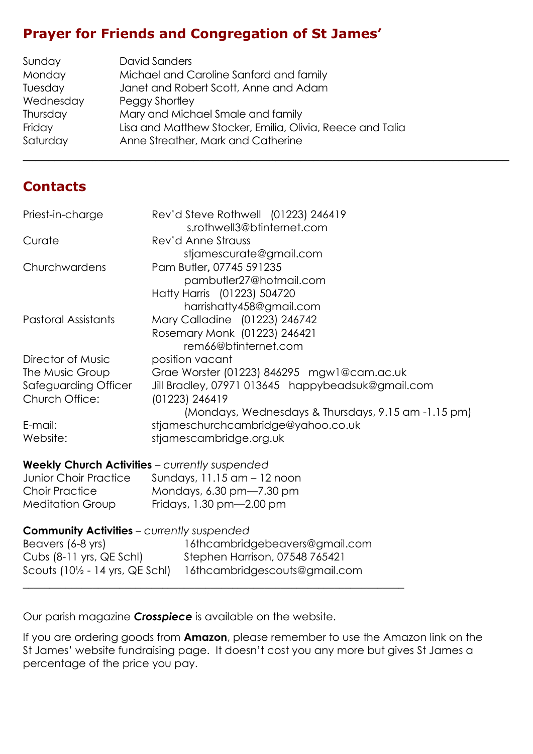# **Prayer for Friends and Congregation of St James'**

| Sunday    | David Sanders                                             |
|-----------|-----------------------------------------------------------|
| Monday    | Michael and Caroline Sanford and family                   |
| Tuesday   | Janet and Robert Scott, Anne and Adam                     |
| Wednesday | Peggy Shortley                                            |
| Thursday  | Mary and Michael Smale and family                         |
| Friday    | Lisa and Matthew Stocker, Emilia, Olivia, Reece and Talia |
| Saturday  | Anne Streather, Mark and Catherine                        |
|           |                                                           |

# **Contacts**

| (Mondays, Wednesdays & Thursdays, 9.15 am -1.15 pm) |
|-----------------------------------------------------|
|                                                     |
|                                                     |
|                                                     |
|                                                     |
|                                                     |
|                                                     |
|                                                     |
|                                                     |
|                                                     |
|                                                     |
|                                                     |

Our parish magazine *Crosspiece* is available on the website.

If you are ordering goods from **Amazon**, please remember to use the Amazon link on the St James' website fundraising page. It doesn't cost you any more but gives St James a percentage of the price you pay.